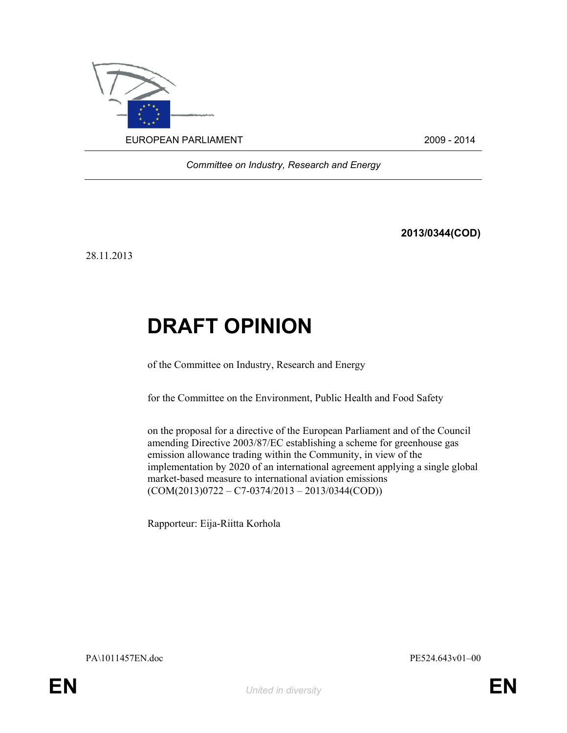

Committee on Industry, Research and Energy

2013/0344(COD)

28.11.2013

# DRAFT OPINION

of the Committee on Industry, Research and Energy

for the Committee on the Environment, Public Health and Food Safety

on the proposal for a directive of the European Parliament and of the Council amending Directive 2003/87/EC establishing a scheme for greenhouse gas emission allowance trading within the Community, in view of the implementation by 2020 of an international agreement applying a single global market-based measure to international aviation emissions  $(COM(2013)0722 - C7 - 0374/2013 - 2013/0344(COD))$ 

Rapporteur: Eija-Riitta Korhola

PA\1011457EN.doc PE524.643v01–00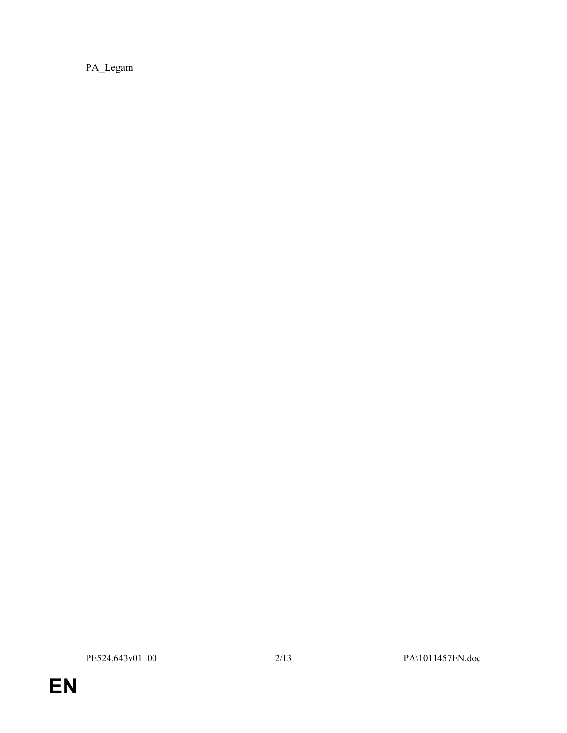PA\_Legam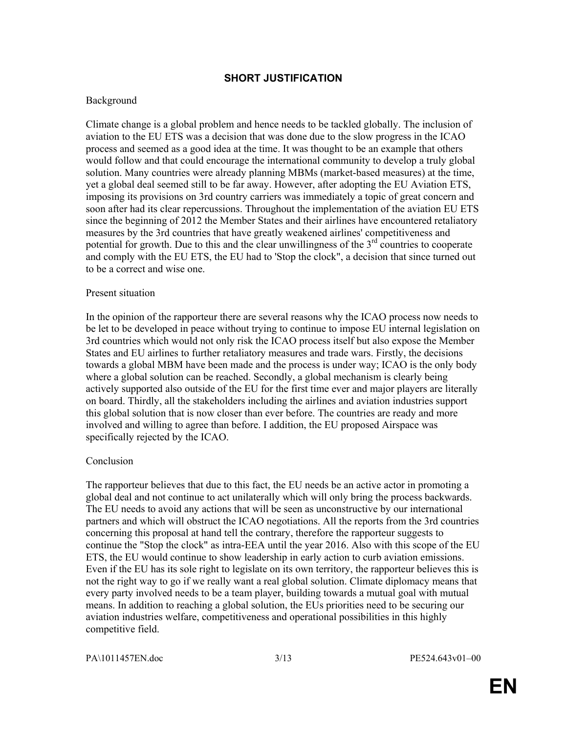# SHORT JUSTIFICATION

# Background

Climate change is a global problem and hence needs to be tackled globally. The inclusion of aviation to the EU ETS was a decision that was done due to the slow progress in the ICAO process and seemed as a good idea at the time. It was thought to be an example that others would follow and that could encourage the international community to develop a truly global solution. Many countries were already planning MBMs (market-based measures) at the time, yet a global deal seemed still to be far away. However, after adopting the EU Aviation ETS, imposing its provisions on 3rd country carriers was immediately a topic of great concern and soon after had its clear repercussions. Throughout the implementation of the aviation EU ETS since the beginning of 2012 the Member States and their airlines have encountered retaliatory measures by the 3rd countries that have greatly weakened airlines' competitiveness and potential for growth. Due to this and the clear unwillingness of the  $3<sup>rd</sup>$  countries to cooperate and comply with the EU ETS, the EU had to 'Stop the clock", a decision that since turned out to be a correct and wise one.

### Present situation

In the opinion of the rapporteur there are several reasons why the ICAO process now needs to be let to be developed in peace without trying to continue to impose EU internal legislation on 3rd countries which would not only risk the ICAO process itself but also expose the Member States and EU airlines to further retaliatory measures and trade wars. Firstly, the decisions towards a global MBM have been made and the process is under way; ICAO is the only body where a global solution can be reached. Secondly, a global mechanism is clearly being actively supported also outside of the EU for the first time ever and major players are literally on board. Thirdly, all the stakeholders including the airlines and aviation industries support this global solution that is now closer than ever before. The countries are ready and more involved and willing to agree than before. I addition, the EU proposed Airspace was specifically rejected by the ICAO.

### Conclusion

The rapporteur believes that due to this fact, the EU needs be an active actor in promoting a global deal and not continue to act unilaterally which will only bring the process backwards. The EU needs to avoid any actions that will be seen as unconstructive by our international partners and which will obstruct the ICAO negotiations. All the reports from the 3rd countries concerning this proposal at hand tell the contrary, therefore the rapporteur suggests to continue the "Stop the clock" as intra-EEA until the year 2016. Also with this scope of the EU ETS, the EU would continue to show leadership in early action to curb aviation emissions. Even if the EU has its sole right to legislate on its own territory, the rapporteur believes this is not the right way to go if we really want a real global solution. Climate diplomacy means that every party involved needs to be a team player, building towards a mutual goal with mutual means. In addition to reaching a global solution, the EUs priorities need to be securing our aviation industries welfare, competitiveness and operational possibilities in this highly competitive field.

PA\1011457EN.doc 3/13 PE524.643v01–00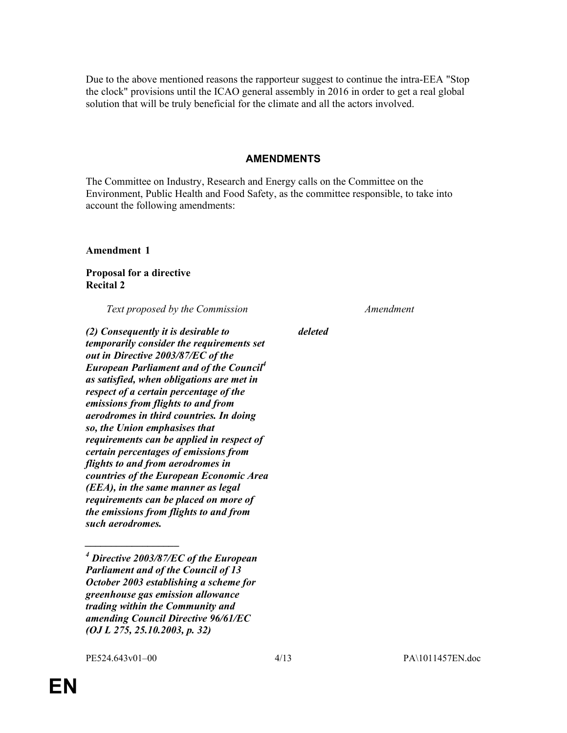Due to the above mentioned reasons the rapporteur suggest to continue the intra-EEA "Stop the clock" provisions until the ICAO general assembly in 2016 in order to get a real global solution that will be truly beneficial for the climate and all the actors involved.

#### AMENDMENTS

The Committee on Industry, Research and Energy calls on the Committee on the Environment, Public Health and Food Safety, as the committee responsible, to take into account the following amendments:

Amendment 1

Proposal for a directive Recital 2

Text proposed by the Commission Messachuset Amendment

(2) Consequently it is desirable to temporarily consider the requirements set out in Directive 2003/87/EC of the European Parliament and of the Council $<sup>4</sup>$ </sup> as satisfied, when obligations are met in respect of a certain percentage of the emissions from flights to and from aerodromes in third countries. In doing so, the Union emphasises that requirements can be applied in respect of certain percentages of emissions from flights to and from aerodromes in countries of the European Economic Area (EEA), in the same manner as legal requirements can be placed on more of the emissions from flights to and from such aerodromes.

 $\overline{\phantom{a}}$  . The set of the set of the set of the set of the set of the set of the set of the set of the set of the set of the set of the set of the set of the set of the set of the set of the set of the set of the set o

deleted

 $^{4}$  Directive 2003/87/EC of the European Parliament and of the Council of 13 October 2003 establishing a scheme for greenhouse gas emission allowance trading within the Community and amending Council Directive 96/61/EC (OJ L 275, 25.10.2003, p. 32)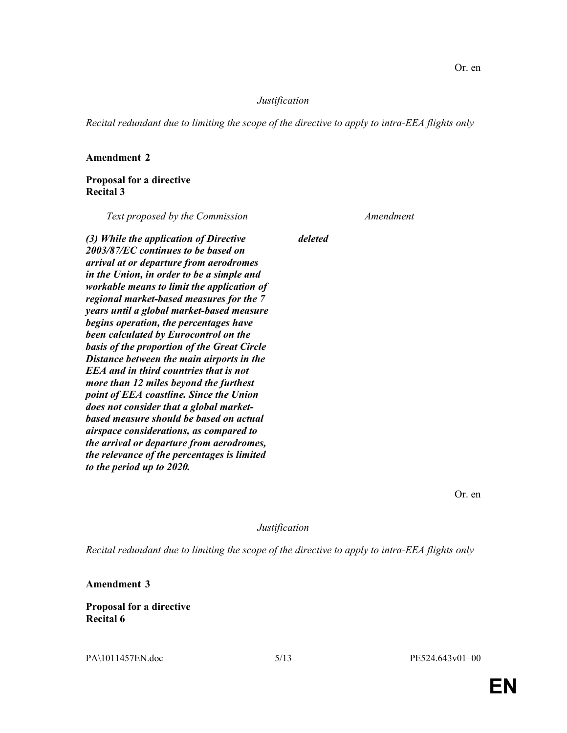Recital redundant due to limiting the scope of the directive to apply to intra-EEA flights only

deleted

### Amendment 2

### Proposal for a directive Recital 3

Text proposed by the Commission Amendment

(3) While the application of Directive 2003/87/EC continues to be based on arrival at or departure from aerodromes in the Union, in order to be a simple and workable means to limit the application of regional market-based measures for the 7 years until a global market-based measure begins operation, the percentages have been calculated by Eurocontrol on the basis of the proportion of the Great Circle Distance between the main airports in the EEA and in third countries that is not more than 12 miles beyond the furthest point of EEA coastline. Since the Union does not consider that a global marketbased measure should be based on actual airspace considerations, as compared to the arrival or departure from aerodromes, the relevance of the percentages is limited to the period up to 2020.

Or. en

Justification

Recital redundant due to limiting the scope of the directive to apply to intra-EEA flights only

Amendment 3

Proposal for a directive Recital 6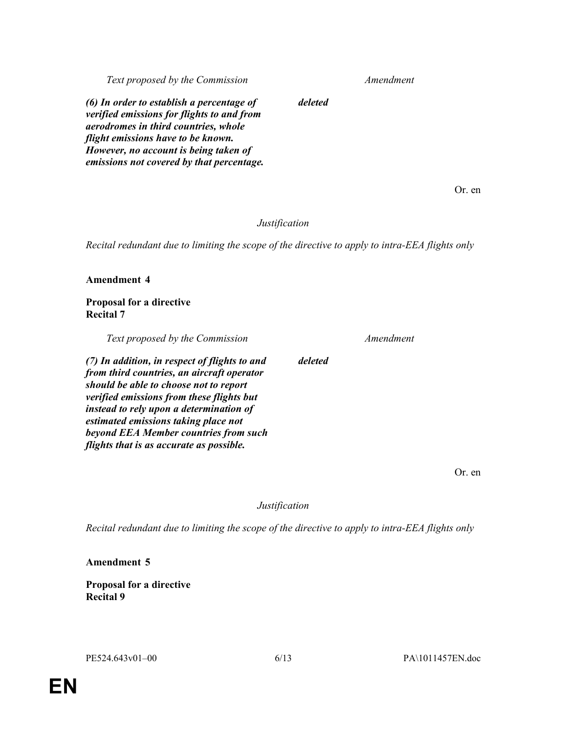Text proposed by the Commission Message Amendment

(6) In order to establish a percentage of verified emissions for flights to and from aerodromes in third countries, whole flight emissions have to be known. However, no account is being taken of emissions not covered by that percentage.

Or. en

# Justification

deleted

deleted

Recital redundant due to limiting the scope of the directive to apply to intra-EEA flights only

### Amendment 4

# Proposal for a directive Recital 7

Text proposed by the Commission Messenger Amendment

(7) In addition, in respect of flights to and from third countries, an aircraft operator should be able to choose not to report verified emissions from these flights but instead to rely upon a determination of estimated emissions taking place not beyond EEA Member countries from such flights that is as accurate as possible.

Or. en

Justification

Recital redundant due to limiting the scope of the directive to apply to intra-EEA flights only

### Amendment 5

Proposal for a directive Recital 9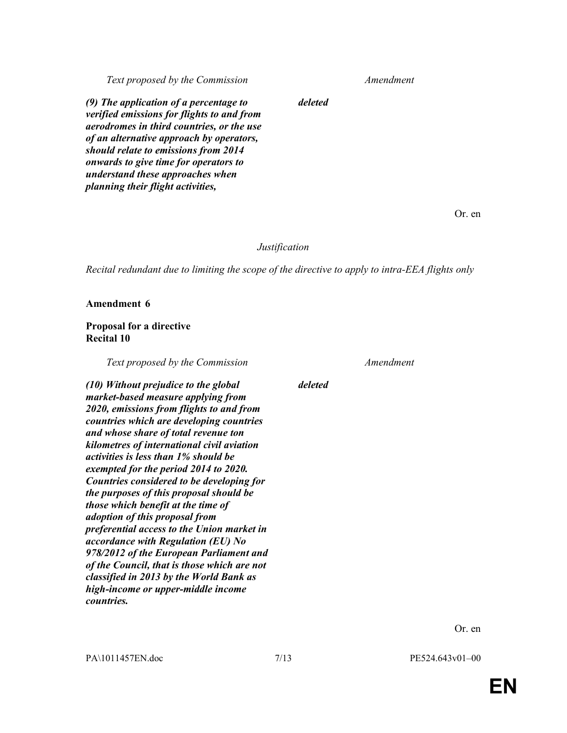Text proposed by the Commission Message Amendment

(9) The application of a percentage to verified emissions for flights to and from aerodromes in third countries, or the use of an alternative approach by operators, should relate to emissions from 2014 onwards to give time for operators to understand these approaches when planning their flight activities,

Or. en

#### Justification

deleted

Recital redundant due to limiting the scope of the directive to apply to intra-EEA flights only

Amendment 6

### Proposal for a directive Recital 10

Text proposed by the Commission Messenger Amendment

(10) Without prejudice to the global market-based measure applying from 2020, emissions from flights to and from countries which are developing countries and whose share of total revenue ton kilometres of international civil aviation activities is less than 1% should be exempted for the period 2014 to 2020. Countries considered to be developing for the purposes of this proposal should be those which benefit at the time of adoption of this proposal from preferential access to the Union market in accordance with Regulation (EU) No 978/2012 of the European Parliament and of the Council, that is those which are not classified in 2013 by the World Bank as high-income or upper-middle income countries.

deleted

Or. en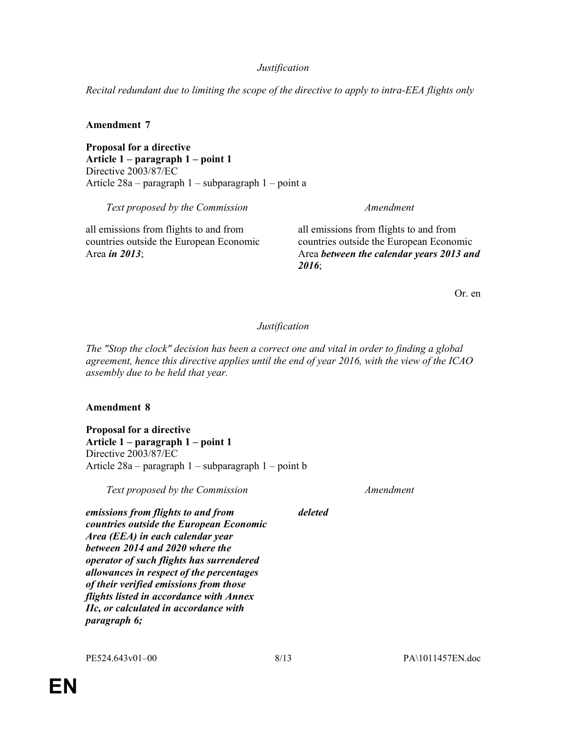Recital redundant due to limiting the scope of the directive to apply to intra-EEA flights only

# Amendment 7

Proposal for a directive Article 1 – paragraph 1 – point 1 Directive 2003/87/EC Article 28a – paragraph 1 – subparagraph 1 – point a

Text proposed by the Commission Message Amendment

all emissions from flights to and from countries outside the European Economic Area in 2013;

all emissions from flights to and from countries outside the European Economic Area between the calendar years 2013 and 2016;

Or. en

# Justification

The "Stop the clock" decision has been a correct one and vital in order to finding a global agreement, hence this directive applies until the end of year 2016, with the view of the ICAO assembly due to be held that year.

# Amendment 8

Proposal for a directive Article 1 – paragraph 1 – point 1 Directive 2003/87/EC Article 28a – paragraph 1 – subparagraph 1 – point b

Text proposed by the Commission Messenger Amendment

emissions from flights to and from countries outside the European Economic Area (EEA) in each calendar year between 2014 and 2020 where the operator of such flights has surrendered allowances in respect of the percentages of their verified emissions from those flights listed in accordance with Annex IIc, or calculated in accordance with paragraph 6;

deleted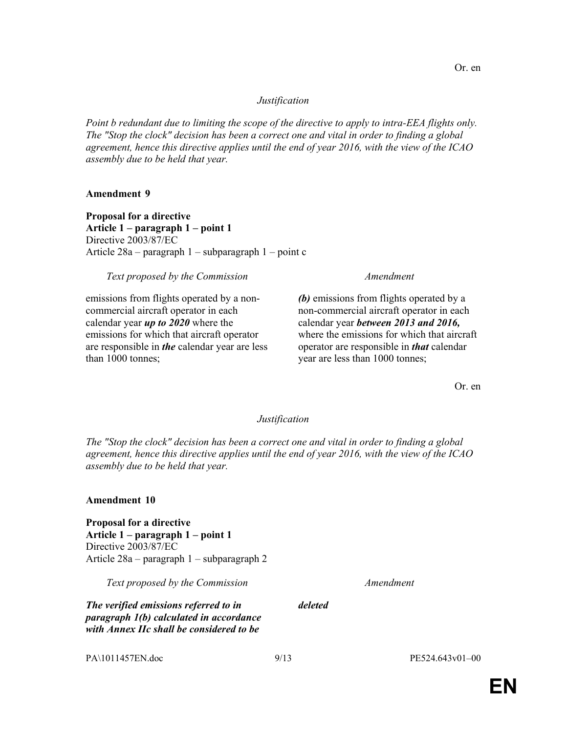Point b redundant due to limiting the scope of the directive to apply to intra-EEA flights only. The "Stop the clock" decision has been a correct one and vital in order to finding a global agreement, hence this directive applies until the end of year 2016, with the view of the ICAO assembly due to be held that year.

### Amendment 9

Proposal for a directive Article 1 – paragraph 1 – point 1 Directive 2003/87/EC Article 28a – paragraph 1 – subparagraph 1 – point c

### Text proposed by the Commission Text proposed by the Commission

emissions from flights operated by a noncommercial aircraft operator in each calendar year  $\mu p$  to 2020 where the emissions for which that aircraft operator are responsible in the calendar year are less than 1000 tonnes;

(b) emissions from flights operated by a non-commercial aircraft operator in each calendar year between 2013 and 2016, where the emissions for which that aircraft operator are responsible in *that* calendar year are less than 1000 tonnes;

Or. en

#### Justification

The "Stop the clock" decision has been a correct one and vital in order to finding a global agreement, hence this directive applies until the end of year 2016, with the view of the ICAO assembly due to be held that year.

deleted

### Amendment 10

Proposal for a directive Article 1 – paragraph 1 – point 1 Directive 2003/87/EC Article 28a – paragraph 1 – subparagraph 2

Text proposed by the Commission Text proposed by the Commission

The verified emissions referred to in paragraph 1(b) calculated in accordance with Annex IIc shall be considered to be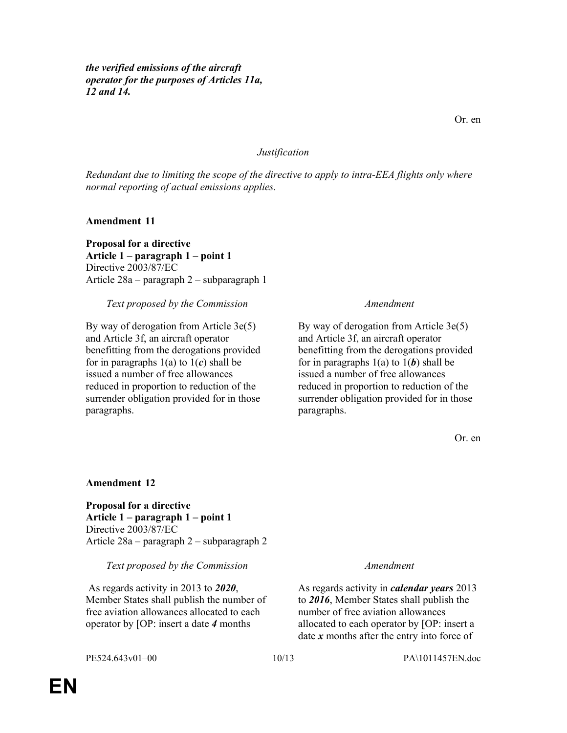the verified emissions of the aircraft operator for the purposes of Articles 11a, 12 and 14.

#### Justification

Redundant due to limiting the scope of the directive to apply to intra-EEA flights only where normal reporting of actual emissions applies.

Amendment 11

Proposal for a directive Article 1 – paragraph 1 – point 1 Directive 2003/87/EC Article 28a – paragraph 2 – subparagraph 1

Text proposed by the Commission Messachuset Amendment

By way of derogation from Article 3e(5) and Article 3f, an aircraft operator benefitting from the derogations provided for in paragraphs  $1(a)$  to  $1(c)$  shall be issued a number of free allowances reduced in proportion to reduction of the surrender obligation provided for in those paragraphs.

By way of derogation from Article 3e(5) and Article 3f, an aircraft operator benefitting from the derogations provided for in paragraphs  $1(a)$  to  $1(b)$  shall be issued a number of free allowances reduced in proportion to reduction of the surrender obligation provided for in those paragraphs.

Or. en

#### Amendment 12

Proposal for a directive Article 1 – paragraph 1 – point 1 Directive 2003/87/EC Article 28a – paragraph 2 – subparagraph 2

Text proposed by the Commission Message Amendment

 As regards activity in 2013 to 2020, Member States shall publish the number of free aviation allowances allocated to each operator by [OP: insert a date 4 months

As regards activity in *calendar years* 2013 to 2016, Member States shall publish the number of free aviation allowances allocated to each operator by [OP: insert a date  $x$  months after the entry into force of

EN

PE524.643v01–00 10/13 PA\1011457EN.doc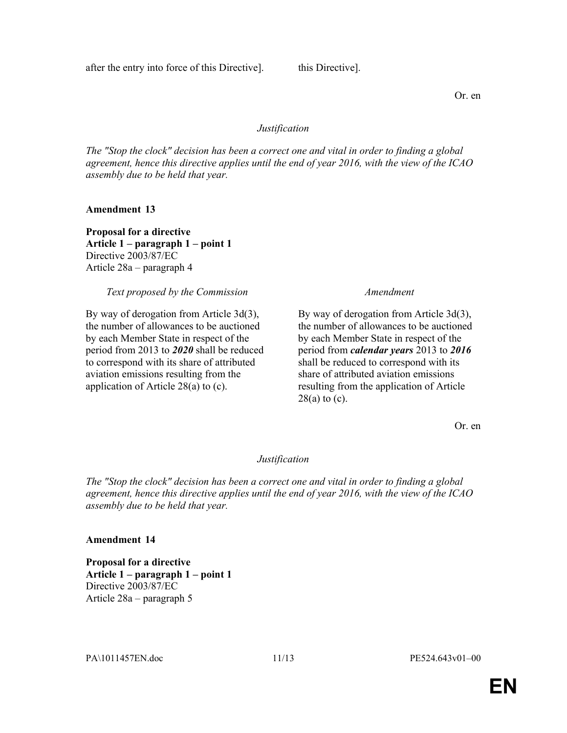The "Stop the clock" decision has been a correct one and vital in order to finding a global agreement, hence this directive applies until the end of year 2016, with the view of the ICAO assembly due to be held that year.

Amendment 13

Proposal for a directive Article 1 – paragraph 1 – point 1 Directive 2003/87/EC Article 28a – paragraph 4

Text proposed by the Commission Messenger Amendment

By way of derogation from Article 3d(3), the number of allowances to be auctioned by each Member State in respect of the period from 2013 to 2020 shall be reduced to correspond with its share of attributed aviation emissions resulting from the application of Article 28(a) to (c).

By way of derogation from Article 3d(3), the number of allowances to be auctioned by each Member State in respect of the period from calendar years 2013 to 2016 shall be reduced to correspond with its share of attributed aviation emissions resulting from the application of Article  $28(a)$  to (c).

Or. en

Justification

The "Stop the clock" decision has been a correct one and vital in order to finding a global agreement, hence this directive applies until the end of year 2016, with the view of the ICAO assembly due to be held that year.

# Amendment 14

Proposal for a directive Article 1 – paragraph 1 – point 1 Directive 2003/87/EC Article 28a – paragraph 5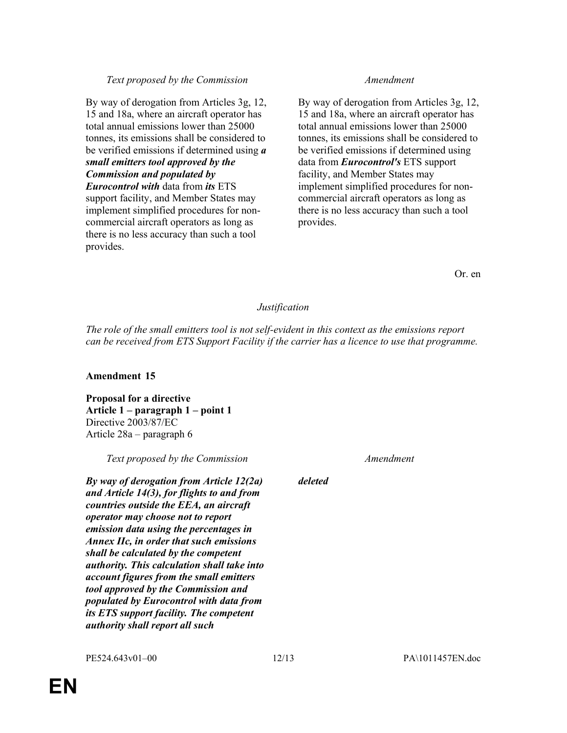#### Text proposed by the Commission Text proposed by the Commission

By way of derogation from Articles 3g, 12, 15 and 18a, where an aircraft operator has total annual emissions lower than 25000 tonnes, its emissions shall be considered to be verified emissions if determined using  $\boldsymbol{a}$ small emitters tool approved by the Commission and populated by Eurocontrol with data from its ETS support facility, and Member States may implement simplified procedures for noncommercial aircraft operators as long as there is no less accuracy than such a tool provides.

By way of derogation from Articles 3g, 12, 15 and 18a, where an aircraft operator has total annual emissions lower than 25000 tonnes, its emissions shall be considered to be verified emissions if determined using data from **Eurocontrol's** ETS support facility, and Member States may implement simplified procedures for noncommercial aircraft operators as long as there is no less accuracy than such a tool provides.

Or. en

#### Justification

The role of the small emitters tool is not self-evident in this context as the emissions report can be received from ETS Support Facility if the carrier has a licence to use that programme.

#### Amendment 15

Proposal for a directive Article 1 – paragraph 1 – point 1 Directive 2003/87/EC Article 28a – paragraph 6

Text proposed by the Commission Messenger Amendment

By way of derogation from Article 12(2a) and Article 14(3), for flights to and from countries outside the EEA, an aircraft operator may choose not to report emission data using the percentages in Annex IIc, in order that such emissions shall be calculated by the competent authority. This calculation shall take into account figures from the small emitters tool approved by the Commission and populated by Eurocontrol with data from its ETS support facility. The competent authority shall report all such

deleted